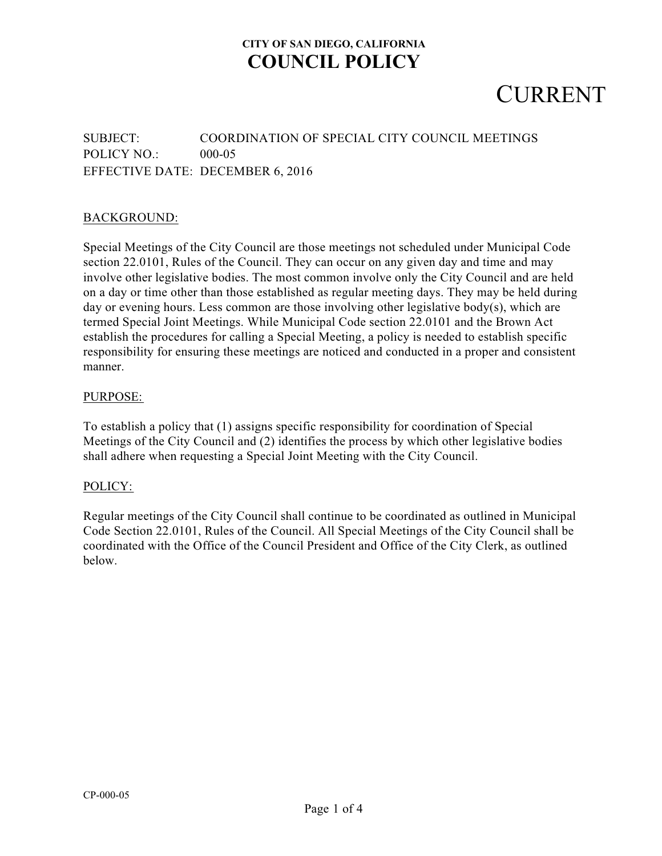# CURRENT

### SUBJECT: COORDINATION OF SPECIAL CITY COUNCIL MEETINGS POLICY NO.: 000-05 EFFECTIVE DATE: DECEMBER 6, 2016

### BACKGROUND:

Special Meetings of the City Council are those meetings not scheduled under Municipal Code section 22.0101, Rules of the Council. They can occur on any given day and time and may involve other legislative bodies. The most common involve only the City Council and are held on a day or time other than those established as regular meeting days. They may be held during day or evening hours. Less common are those involving other legislative body(s), which are termed Special Joint Meetings. While Municipal Code section 22.0101 and the Brown Act establish the procedures for calling a Special Meeting, a policy is needed to establish specific responsibility for ensuring these meetings are noticed and conducted in a proper and consistent manner.

#### PURPOSE:

To establish a policy that (1) assigns specific responsibility for coordination of Special Meetings of the City Council and (2) identifies the process by which other legislative bodies shall adhere when requesting a Special Joint Meeting with the City Council.

#### POLICY:

Regular meetings of the City Council shall continue to be coordinated as outlined in Municipal Code Section 22.0101, Rules of the Council. All Special Meetings of the City Council shall be coordinated with the Office of the Council President and Office of the City Clerk, as outlined below.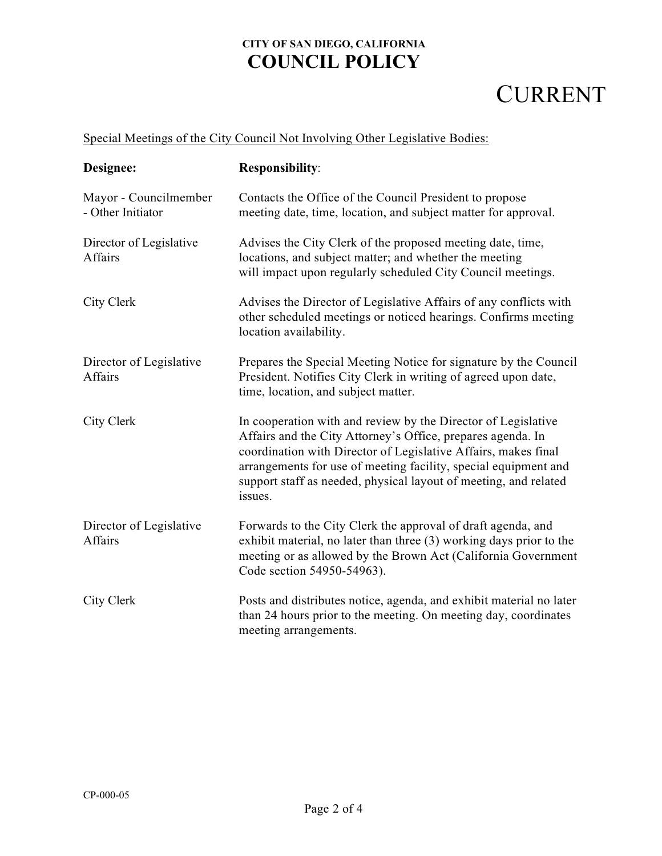# CURRENT

### Special Meetings of the City Council Not Involving Other Legislative Bodies:

| Designee:                                  | <b>Responsibility:</b>                                                                                                                                                                                                                                                                                                                           |
|--------------------------------------------|--------------------------------------------------------------------------------------------------------------------------------------------------------------------------------------------------------------------------------------------------------------------------------------------------------------------------------------------------|
| Mayor - Councilmember<br>- Other Initiator | Contacts the Office of the Council President to propose<br>meeting date, time, location, and subject matter for approval.                                                                                                                                                                                                                        |
| Director of Legislative<br>Affairs         | Advises the City Clerk of the proposed meeting date, time,<br>locations, and subject matter; and whether the meeting<br>will impact upon regularly scheduled City Council meetings.                                                                                                                                                              |
| City Clerk                                 | Advises the Director of Legislative Affairs of any conflicts with<br>other scheduled meetings or noticed hearings. Confirms meeting<br>location availability.                                                                                                                                                                                    |
| Director of Legislative<br><b>Affairs</b>  | Prepares the Special Meeting Notice for signature by the Council<br>President. Notifies City Clerk in writing of agreed upon date,<br>time, location, and subject matter.                                                                                                                                                                        |
| City Clerk                                 | In cooperation with and review by the Director of Legislative<br>Affairs and the City Attorney's Office, prepares agenda. In<br>coordination with Director of Legislative Affairs, makes final<br>arrangements for use of meeting facility, special equipment and<br>support staff as needed, physical layout of meeting, and related<br>issues. |
| Director of Legislative<br><b>Affairs</b>  | Forwards to the City Clerk the approval of draft agenda, and<br>exhibit material, no later than three (3) working days prior to the<br>meeting or as allowed by the Brown Act (California Government<br>Code section 54950-54963).                                                                                                               |
| City Clerk                                 | Posts and distributes notice, agenda, and exhibit material no later<br>than 24 hours prior to the meeting. On meeting day, coordinates<br>meeting arrangements.                                                                                                                                                                                  |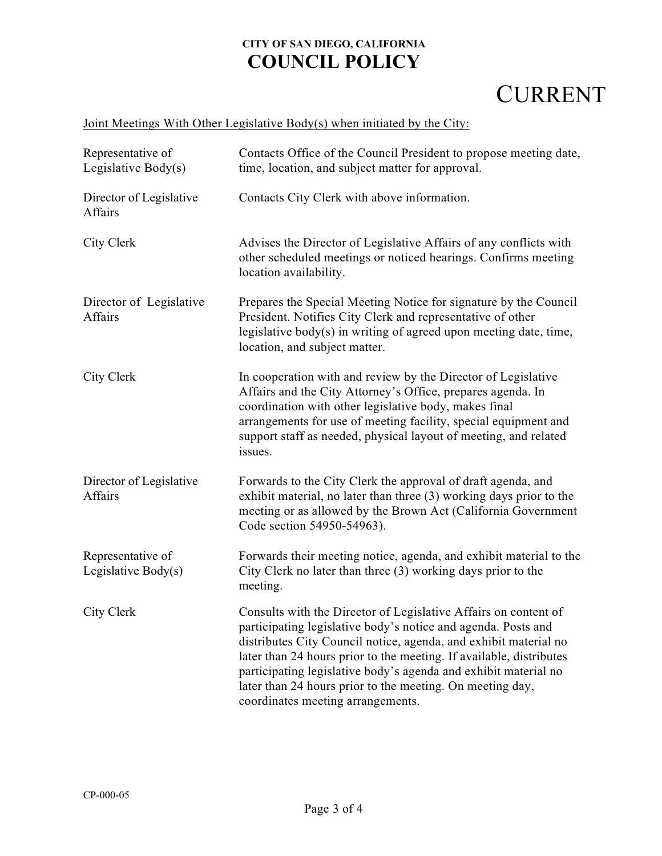# CURRENT

| Representative of<br>Legislative Body(s) | Contacts Office of the Council President to propose meeting date,<br>time, location, and subject matter for approval.                                                                                                                                                                                                                                                                                                                            |
|------------------------------------------|--------------------------------------------------------------------------------------------------------------------------------------------------------------------------------------------------------------------------------------------------------------------------------------------------------------------------------------------------------------------------------------------------------------------------------------------------|
| Director of Legislative<br>Affairs       | Contacts City Clerk with above information.                                                                                                                                                                                                                                                                                                                                                                                                      |
| City Clerk                               | Advises the Director of Legislative Affairs of any conflicts with<br>other scheduled meetings or noticed hearings. Confirms meeting<br>location availability.                                                                                                                                                                                                                                                                                    |
| Director of Legislative<br>Affairs       | Prepares the Special Meeting Notice for signature by the Council<br>President. Notifies City Clerk and representative of other<br>legislative body(s) in writing of agreed upon meeting date, time,<br>location, and subject matter.                                                                                                                                                                                                             |
| City Clerk                               | In cooperation with and review by the Director of Legislative<br>Affairs and the City Attorney's Office, prepares agenda. In<br>coordination with other legislative body, makes final<br>arrangements for use of meeting facility, special equipment and<br>support staff as needed, physical layout of meeting, and related<br>issues.                                                                                                          |
| Director of Legislative<br>Affairs       | Forwards to the City Clerk the approval of draft agenda, and<br>exhibit material, no later than three (3) working days prior to the<br>meeting or as allowed by the Brown Act (California Government<br>Code section 54950-54963).                                                                                                                                                                                                               |
| Representative of<br>Legislative Body(s) | Forwards their meeting notice, agenda, and exhibit material to the<br>City Clerk no later than three (3) working days prior to the<br>meeting.                                                                                                                                                                                                                                                                                                   |
| City Clerk                               | Consults with the Director of Legislative Affairs on content of<br>participating legislative body's notice and agenda. Posts and<br>distributes City Council notice, agenda, and exhibit material no<br>later than 24 hours prior to the meeting. If available, distributes<br>participating legislative body's agenda and exhibit material no<br>later than 24 hours prior to the meeting. On meeting day,<br>coordinates meeting arrangements. |

### Joint Meetings With Other Legislative Body(s) when initiated by the City: